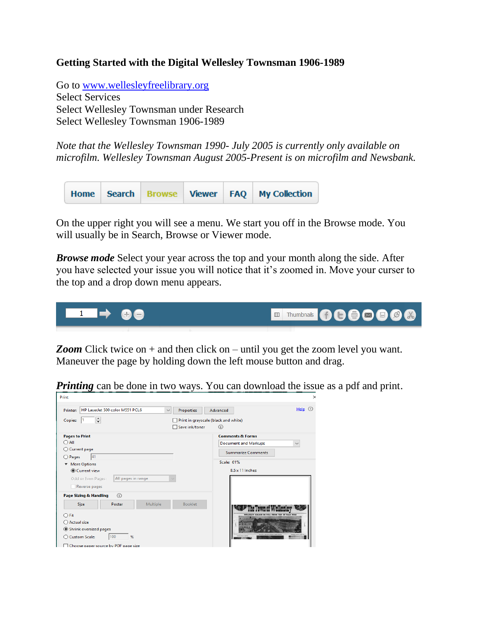## **Getting Started with the Digital Wellesley Townsman 1906-1989**

Go to<www.wellesleyfreelibrary.org> Select Services Select Wellesley Townsman under Research Select Wellesley Townsman 1906-1989

*Note that the Wellesley Townsman 1990- July 2005 is currently only available on microfilm. Wellesley Townsman August 2005-Present is on microfilm and Newsbank.*



On the upper right you will see a menu. We start you off in the Browse mode. You will usually be in Search, Browse or Viewer mode.

*Browse mode* Select your year across the top and your month along the side. After you have selected your issue you will notice that it's zoomed in. Move your curser to the top and a drop down menu appears.



*Zoom* Click twice on + and then click on – until you get the zoom level you want. Maneuver the page by holding down the left mouse button and drag.

*Printing* can be done in two ways. You can download the issue as a pdf and print.

| HP LaserJet 500 color M551 PCL6<br>Printer:                      | $\checkmark$ | Properties                           | Help $\odot$<br>Advanced                                |
|------------------------------------------------------------------|--------------|--------------------------------------|---------------------------------------------------------|
| ÷<br>Copies:                                                     |              | Print in grayscale (black and white) |                                                         |
|                                                                  |              | Save ink/toner                       | $\bigcirc$                                              |
| <b>Pages to Print</b><br>$\bigcirc$ All<br>◯ Current page        |              |                                      | <b>Comments &amp; Forms</b>                             |
|                                                                  |              |                                      | <b>Document and Markups</b><br>$\checkmark$             |
|                                                                  |              |                                      | <b>Summarize Comments</b>                               |
| 41<br>O Pages                                                    |              |                                      | Scale: 61%                                              |
| <b>More Options</b><br>$\overline{\mathbf{v}}$<br>◎ Current view |              |                                      | $8.5 \times 11$ Inches                                  |
| All pages in range<br>Odd or Even Pages:                         |              |                                      |                                                         |
| Reverse pages                                                    |              |                                      |                                                         |
| $\Omega$<br>Page Sizing & Handling                               |              |                                      |                                                         |
| Size<br>Poster                                                   | Multiple     | <b>Booklet</b>                       |                                                         |
| $\bigcirc$ Fit                                                   |              |                                      | <b>FLAG POLE</b><br>WELLELEY SOUARE IN 1954 FROM TOP OF |
| ○ Actual size                                                    |              |                                      |                                                         |
| Shrink oversized pages                                           |              |                                      |                                                         |
| 100<br>%<br>○ Custom Scale:                                      |              |                                      |                                                         |
| $\Box$ Choose paper source by PDF page size                      |              |                                      |                                                         |